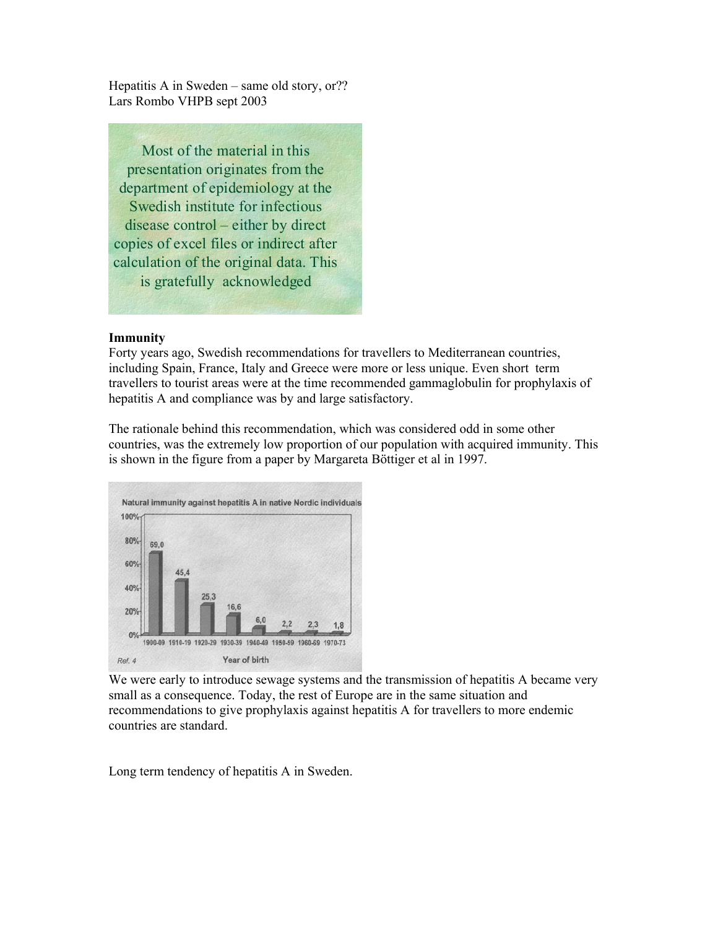Hepatitis A in Sweden – same old story, or?? Lars Rombo VHPB sept 2003

Most of the material in this presentation originates from the department of epidemiology at the Swedish institute for infectious disease control – either by direct copies of excel files or indirect after calculation of the original data. This is gratefully acknowledged

#### **Immunity**

Forty years ago, Swedish recommendations for travellers to Mediterranean countries, including Spain, France, Italy and Greece were more or less unique. Even short term travellers to tourist areas were at the time recommended gammaglobulin for prophylaxis of hepatitis A and compliance was by and large satisfactory.

The rationale behind this recommendation, which was considered odd in some other countries, was the extremely low proportion of our population with acquired immunity. This is shown in the figure from a paper by Margareta Böttiger et al in 1997.



We were early to introduce sewage systems and the transmission of hepatitis A became very small as a consequence. Today, the rest of Europe are in the same situation and recommendations to give prophylaxis against hepatitis A for travellers to more endemic countries are standard.

Long term tendency of hepatitis A in Sweden.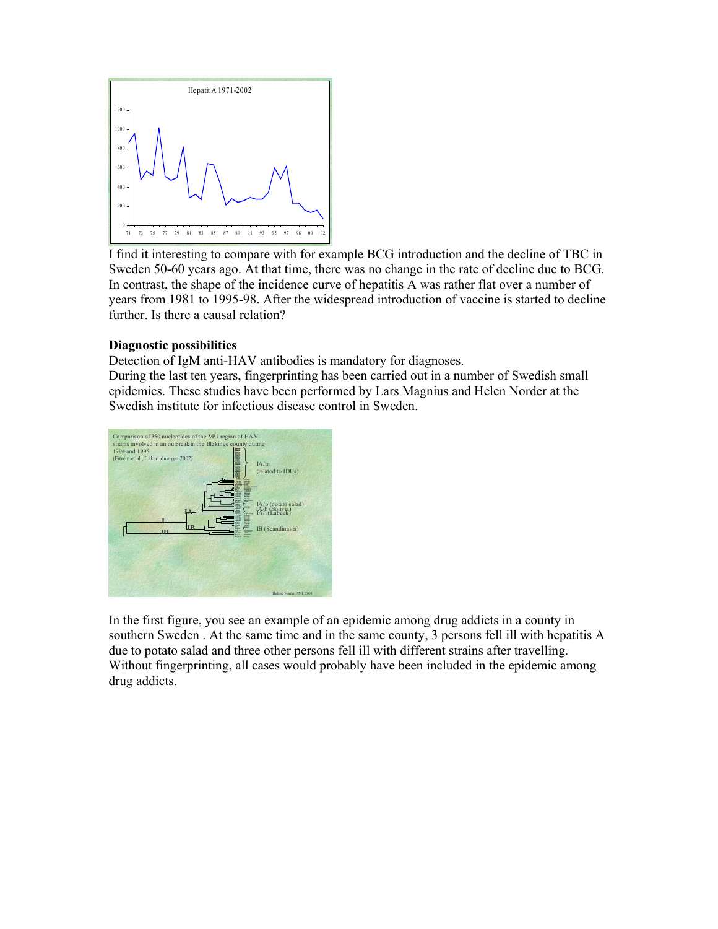

 I find it interesting to compare with for example BCG introduction and the decline of TBC in Sweden 50-60 years ago. At that time, there was no change in the rate of decline due to BCG. In contrast, the shape of the incidence curve of hepatitis A was rather flat over a number of years from 1981 to 1995-98. After the widespread introduction of vaccine is started to decline further. Is there a causal relation?

# **Diagnostic possibilities**

Detection of IgM anti-HAV antibodies is mandatory for diagnoses.

During the last ten years, fingerprinting has been carried out in a number of Swedish small epidemics. These studies have been performed by Lars Magnius and Helen Norder at the Swedish institute for infectious disease control in Sweden.



In the first figure, you see an example of an epidemic among drug addicts in a county in southern Sweden . At the same time and in the same county, 3 persons fell ill with hepatitis A due to potato salad and three other persons fell ill with different strains after travelling. Without fingerprinting, all cases would probably have been included in the epidemic among drug addicts.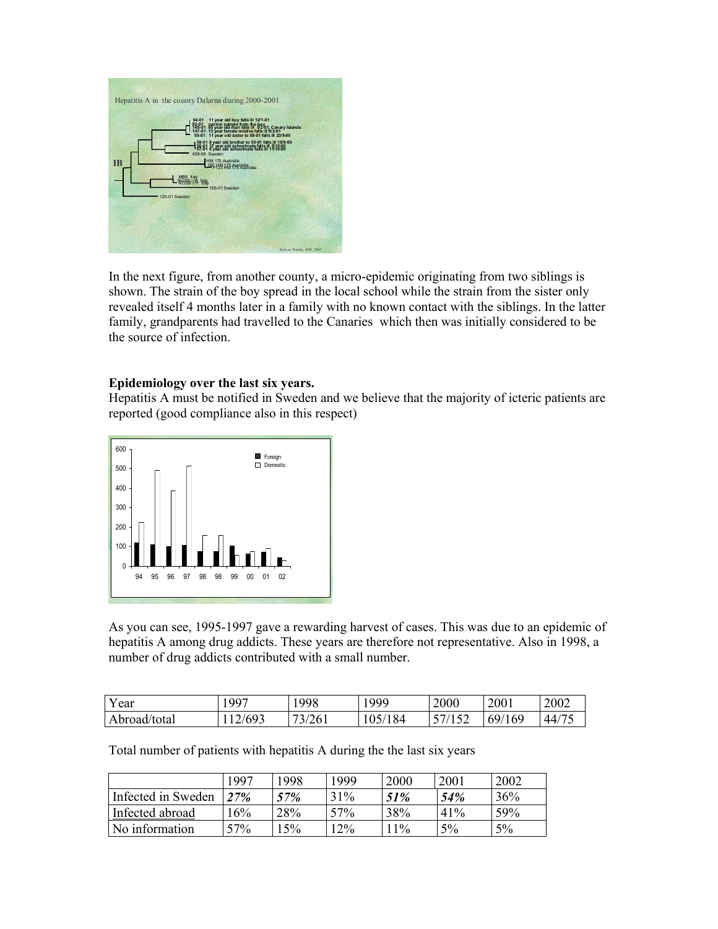

In the next figure, from another county, a micro-epidemic originating from two siblings is shown. The strain of the boy spread in the local school while the strain from the sister only revealed itself 4 months later in a family with no known contact with the siblings. In the latter family, grandparents had travelled to the Canaries which then was initially considered to be the source of infection.

### **Epidemiology over the last six years.**

Hepatitis A must be notified in Sweden and we believe that the majority of icteric patients are reported (good compliance also in this respect)



As you can see, 1995-1997 gave a rewarding harvest of cases. This was due to an epidemic of hepatitis A among drug addicts. These years are therefore not representative. Also in 1998, a number of drug addicts contributed with a small number.

| Year         | .997   | 998    | 1999    | 2000 | 2001   | 2002                          |
|--------------|--------|--------|---------|------|--------|-------------------------------|
| Abroad/total | 12/693 | 73/261 | 105/184 |      | 69/169 | $\sqrt{2}$<br>44 <sub>1</sub> |

Total number of patients with hepatitis A during the the last six years

|                    | 1997 | 1998 | 1999   | 2000  | 2001 | 2002 |
|--------------------|------|------|--------|-------|------|------|
| Infected in Sweden | 27%  | 57%  | 31%    | 51%   | 54%  | 36%  |
| Infected abroad    | 16%  | 28%  | 57%    | 38%   | 41%  | 59%  |
| No information     | 57%  | 5%   | $12\%$ | $1\%$ | 5%   | 5%   |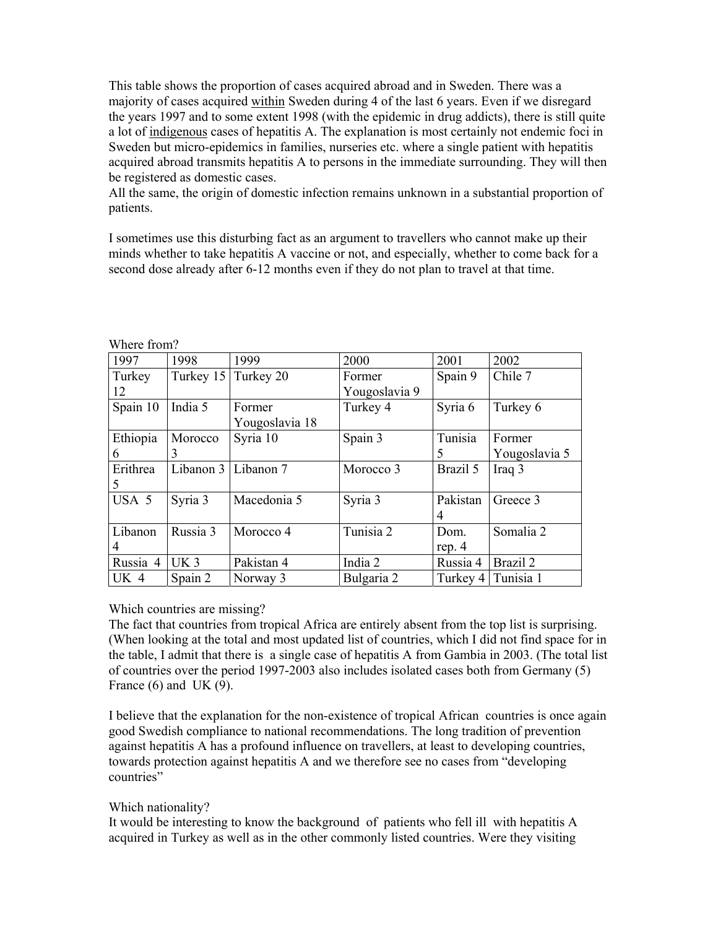This table shows the proportion of cases acquired abroad and in Sweden. There was a majority of cases acquired within Sweden during 4 of the last 6 years. Even if we disregard the years 1997 and to some extent 1998 (with the epidemic in drug addicts), there is still quite a lot of indigenous cases of hepatitis A. The explanation is most certainly not endemic foci in Sweden but micro-epidemics in families, nurseries etc. where a single patient with hepatitis acquired abroad transmits hepatitis A to persons in the immediate surrounding. They will then be registered as domestic cases.

All the same, the origin of domestic infection remains unknown in a substantial proportion of patients.

I sometimes use this disturbing fact as an argument to travellers who cannot make up their minds whether to take hepatitis A vaccine or not, and especially, whether to come back for a second dose already after 6-12 months even if they do not plan to travel at that time.

| 1997     | 1998            | 1999                    | 2000          | 2001           | 2002          |
|----------|-----------------|-------------------------|---------------|----------------|---------------|
| Turkey   |                 | Turkey 15 Turkey 20     | Former        | Spain 9        | Chile 7       |
| 12       |                 |                         | Yougoslavia 9 |                |               |
| Spain 10 | India 5         | Former                  | Turkey 4      | Syria 6        | Turkey 6      |
|          |                 | Yougoslavia 18          |               |                |               |
| Ethiopia | Morocco         | Syria 10                | Spain 3       | Tunisia        | Former        |
| 6        | 3               |                         |               | 5              | Yougoslavia 5 |
| Erithrea |                 | Libanon $3$ Libanon $7$ | Morocco 3     | Brazil 5       | Iraq 3        |
| 5        |                 |                         |               |                |               |
| USA 5    | Syria 3         | Macedonia 5             | Syria 3       | Pakistan       | Greece 3      |
|          |                 |                         |               | $\overline{4}$ |               |
| Libanon  | Russia 3        | Morocco 4               | Tunisia 2     | Dom.           | Somalia 2     |
| 4        |                 |                         |               | rep. $4$       |               |
| Russia 4 | UK <sub>3</sub> | Pakistan 4              | India 2       | Russia 4       | Brazil 2      |
| UK 4     | Spain 2         | Norway 3                | Bulgaria 2    | Turkey 4       | Tunisia 1     |

Where from?

# Which countries are missing?

The fact that countries from tropical Africa are entirely absent from the top list is surprising. (When looking at the total and most updated list of countries, which I did not find space for in the table, I admit that there is a single case of hepatitis A from Gambia in 2003. (The total list of countries over the period 1997-2003 also includes isolated cases both from Germany (5) France  $(6)$  and UK  $(9)$ .

I believe that the explanation for the non-existence of tropical African countries is once again good Swedish compliance to national recommendations. The long tradition of prevention against hepatitis A has a profound influence on travellers, at least to developing countries, towards protection against hepatitis A and we therefore see no cases from "developing countries"

# Which nationality?

It would be interesting to know the background of patients who fell ill with hepatitis A acquired in Turkey as well as in the other commonly listed countries. Were they visiting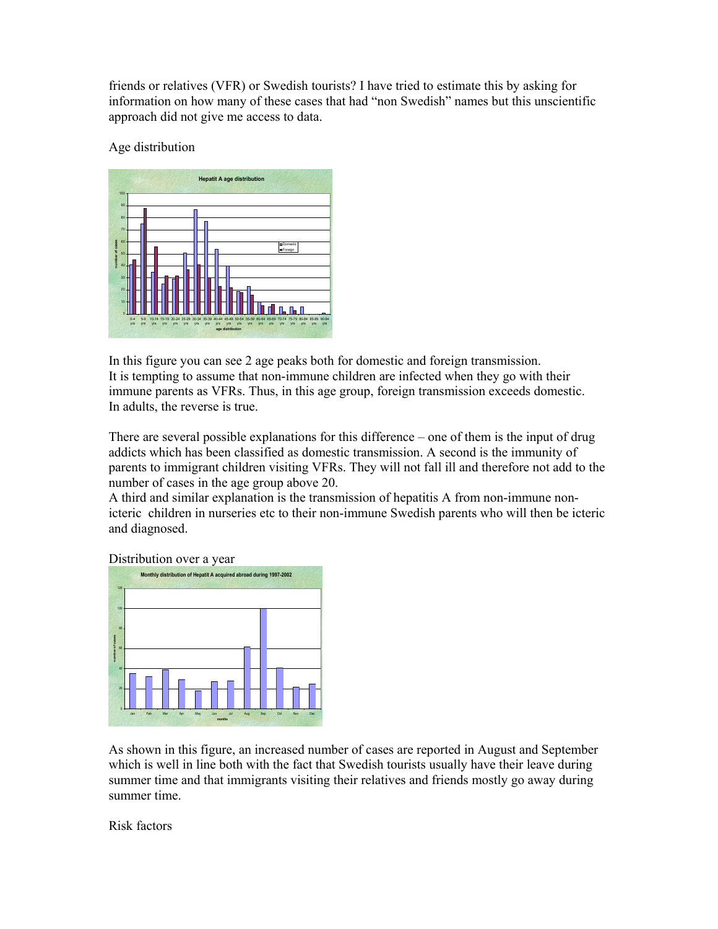friends or relatives (VFR) or Swedish tourists? I have tried to estimate this by asking for information on how many of these cases that had "non Swedish" names but this unscientific approach did not give me access to data.

Age distribution



In this figure you can see 2 age peaks both for domestic and foreign transmission. It is tempting to assume that non-immune children are infected when they go with their immune parents as VFRs. Thus, in this age group, foreign transmission exceeds domestic. In adults, the reverse is true.

There are several possible explanations for this difference – one of them is the input of drug addicts which has been classified as domestic transmission. A second is the immunity of parents to immigrant children visiting VFRs. They will not fall ill and therefore not add to the number of cases in the age group above 20.

A third and similar explanation is the transmission of hepatitis A from non-immune nonicteric children in nurseries etc to their non-immune Swedish parents who will then be icteric and diagnosed.

Distribution over a year



As shown in this figure, an increased number of cases are reported in August and September which is well in line both with the fact that Swedish tourists usually have their leave during summer time and that immigrants visiting their relatives and friends mostly go away during summer time.

Risk factors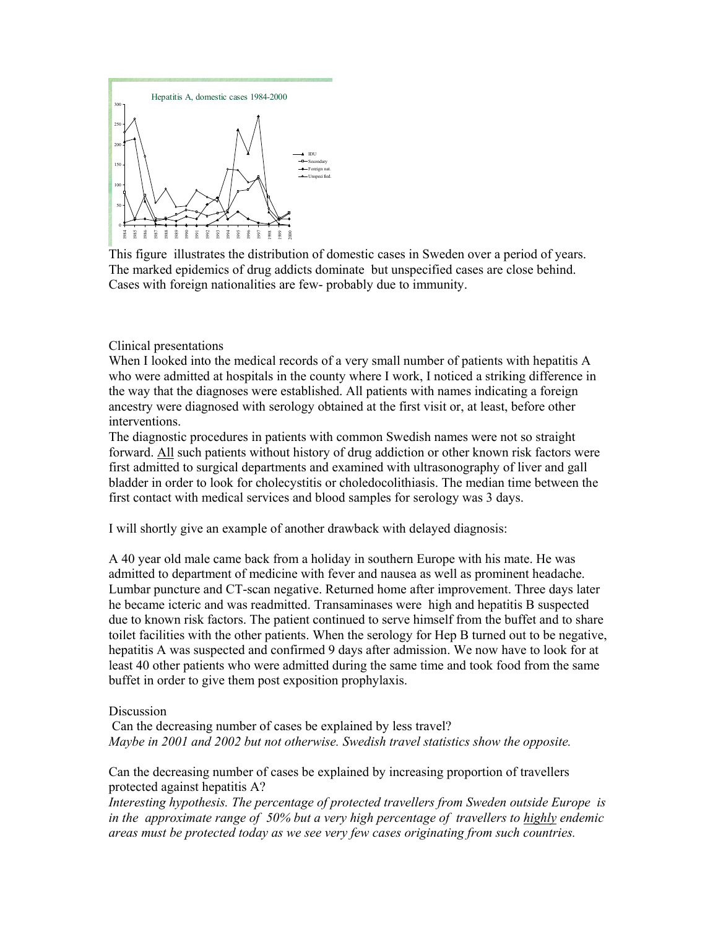

This figure illustrates the distribution of domestic cases in Sweden over a period of years. The marked epidemics of drug addicts dominate but unspecified cases are close behind. Cases with foreign nationalities are few- probably due to immunity.

Clinical presentations

When I looked into the medical records of a very small number of patients with hepatitis A who were admitted at hospitals in the county where I work, I noticed a striking difference in the way that the diagnoses were established. All patients with names indicating a foreign ancestry were diagnosed with serology obtained at the first visit or, at least, before other interventions.

The diagnostic procedures in patients with common Swedish names were not so straight forward. All such patients without history of drug addiction or other known risk factors were first admitted to surgical departments and examined with ultrasonography of liver and gall bladder in order to look for cholecystitis or choledocolithiasis. The median time between the first contact with medical services and blood samples for serology was 3 days.

I will shortly give an example of another drawback with delayed diagnosis:

A 40 year old male came back from a holiday in southern Europe with his mate. He was admitted to department of medicine with fever and nausea as well as prominent headache. Lumbar puncture and CT-scan negative. Returned home after improvement. Three days later he became icteric and was readmitted. Transaminases were high and hepatitis B suspected due to known risk factors. The patient continued to serve himself from the buffet and to share toilet facilities with the other patients. When the serology for Hep B turned out to be negative, hepatitis A was suspected and confirmed 9 days after admission. We now have to look for at least 40 other patients who were admitted during the same time and took food from the same buffet in order to give them post exposition prophylaxis.

#### Discussion

 Can the decreasing number of cases be explained by less travel? *Maybe in 2001 and 2002 but not otherwise. Swedish travel statistics show the opposite.* 

Can the decreasing number of cases be explained by increasing proportion of travellers protected against hepatitis A?

*Interesting hypothesis. The percentage of protected travellers from Sweden outside Europe is in the approximate range of 50% but a very high percentage of travellers to highly endemic areas must be protected today as we see very few cases originating from such countries.*